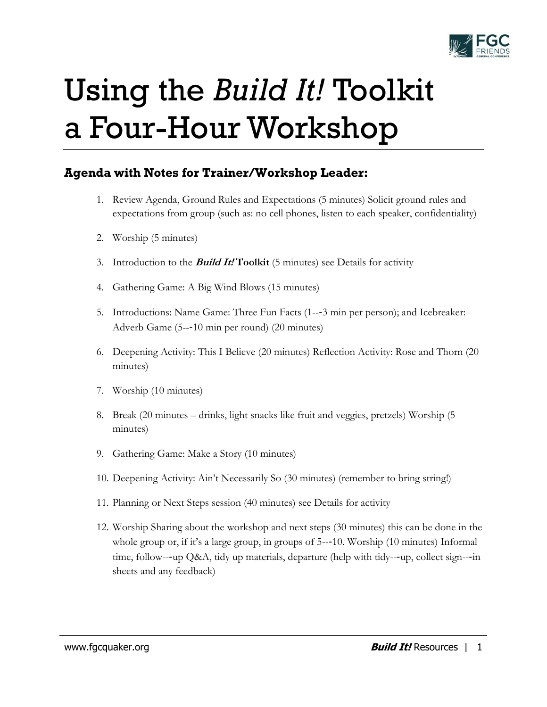

# Using the *Build It!* Toolkit a Four-Hour Workshop

## **Agenda with Notes for Trainer/Workshop Leader:**

- 1. Review Agenda, Ground Rules and Expectations (5 minutes) Solicit ground rules and expectations from group (such as: no cell phones, listen to each speaker, confidentiality)
- 2. Worship (5 minutes)
- 3. Introduction to the **Build It! Toolkit** (5 minutes) see Details for activity
- 4. Gathering Game: A Big Wind Blows (15 minutes)
- 5. Introductions: Name Game: Three Fun Facts (1--‐3 min per person); and Icebreaker: Adverb Game (5--‐10 min per round) (20 minutes)
- 6. Deepening Activity: This I Believe (20 minutes) Reflection Activity: Rose and Thorn (20 minutes)
- 7. Worship (10 minutes)
- 8. Break (20 minutes drinks, light snacks like fruit and veggies, pretzels) Worship (5 minutes)
- 9. Gathering Game: Make a Story (10 minutes)
- 10. Deepening Activity: Ain't Necessarily So (30 minutes) (remember to bring string!)
- 11. Planning or Next Steps session (40 minutes) see Details for activity
- 12. Worship Sharing about the workshop and next steps (30 minutes) this can be done in the whole group or, if it's a large group, in groups of 5---10. Worship (10 minutes) Informal time, follow---up Q&A, tidy up materials, departure (help with tidy---up, collect sign---in sheets and any feedback)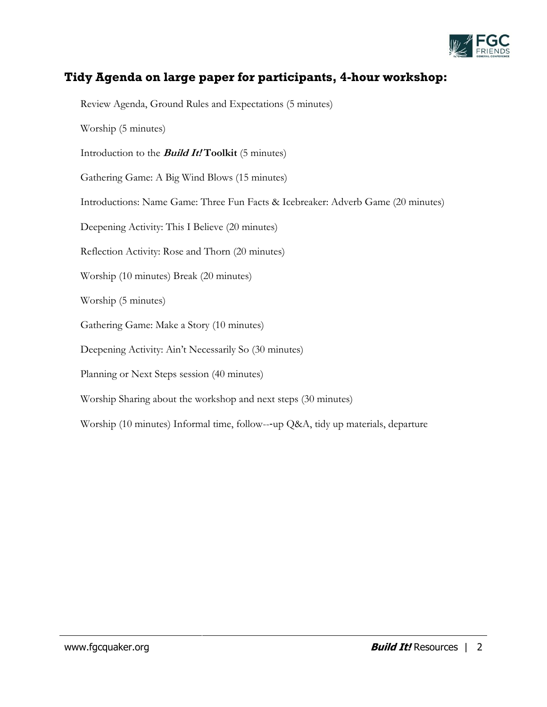

## **Tidy Agenda on large paper for participants, 4-hour workshop:**

Review Agenda, Ground Rules and Expectations (5 minutes)

Worship (5 minutes)

Introduction to the **Build It! Toolkit** (5 minutes)

Gathering Game: A Big Wind Blows (15 minutes)

Introductions: Name Game: Three Fun Facts & Icebreaker: Adverb Game (20 minutes)

Deepening Activity: This I Believe (20 minutes)

Reflection Activity: Rose and Thorn (20 minutes)

Worship (10 minutes) Break (20 minutes)

Worship (5 minutes)

Gathering Game: Make a Story (10 minutes)

Deepening Activity: Ain't Necessarily So (30 minutes)

Planning or Next Steps session (40 minutes)

Worship Sharing about the workshop and next steps (30 minutes)

Worship (10 minutes) Informal time, follow---up Q&A, tidy up materials, departure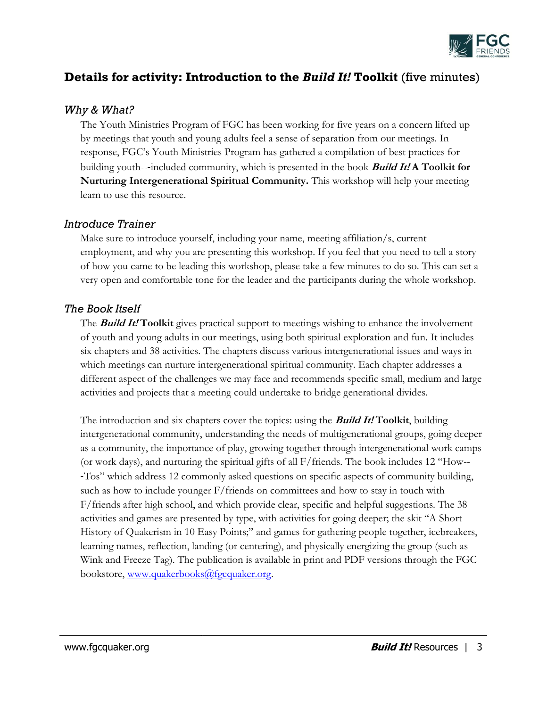

## **Details for activity: Introduction to the** *Build It!* **Toolkit** (five minutes)

#### *Why & What?*

The Youth Ministries Program of FGC has been working for five years on a concern lifted up by meetings that youth and young adults feel a sense of separation from our meetings. In response, FGC's Youth Ministries Program has gathered a compilation of best practices for building youth--‐included community, which is presented in the book **Build It! A Toolkit for Nurturing Intergenerational Spiritual Community.** This workshop will help your meeting learn to use this resource.

#### *Introduce Trainer*

Make sure to introduce yourself, including your name, meeting affiliation/s, current employment, and why you are presenting this workshop. If you feel that you need to tell a story of how you came to be leading this workshop, please take a few minutes to do so. This can set a very open and comfortable tone for the leader and the participants during the whole workshop.

#### *The Book Itself*

The **Build It! Toolkit** gives practical support to meetings wishing to enhance the involvement of youth and young adults in our meetings, using both spiritual exploration and fun. It includes six chapters and 38 activities. The chapters discuss various intergenerational issues and ways in which meetings can nurture intergenerational spiritual community. Each chapter addresses a different aspect of the challenges we may face and recommends specific small, medium and large activities and projects that a meeting could undertake to bridge generational divides.

The introduction and six chapters cover the topics: using the **Build It! Toolkit**, building intergenerational community, understanding the needs of multigenerational groups, going deeper as a community, the importance of play, growing together through intergenerational work camps (or work days), and nurturing the spiritual gifts of all F/friends. The book includes 12 "How-- ‐Tos" which address 12 commonly asked questions on specific aspects of community building, such as how to include younger F/friends on committees and how to stay in touch with F/friends after high school, and which provide clear, specific and helpful suggestions. The 38 activities and games are presented by type, with activities for going deeper; the skit "A Short History of Quakerism in 10 Easy Points;" and games for gathering people together, icebreakers, learning names, reflection, landing (or centering), and physically energizing the group (such as Wink and Freeze Tag). The publication is available in print and PDF versions through the FGC bookstore, [www.quakerbooks@fgcquaker.org.](http://www.quakerbooks@fgcquaker.org/)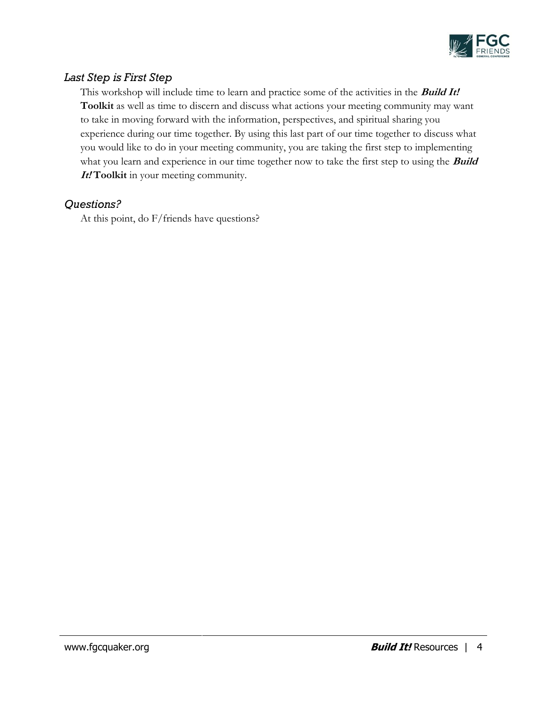

### *Last Step is First Step*

This workshop will include time to learn and practice some of the activities in the **Build It! Toolkit** as well as time to discern and discuss what actions your meeting community may want to take in moving forward with the information, perspectives, and spiritual sharing you experience during our time together. By using this last part of our time together to discuss what you would like to do in your meeting community, you are taking the first step to implementing what you learn and experience in our time together now to take the first step to using the **Build It! Toolkit** in your meeting community.

#### *Questions?*

At this point, do F/friends have questions?